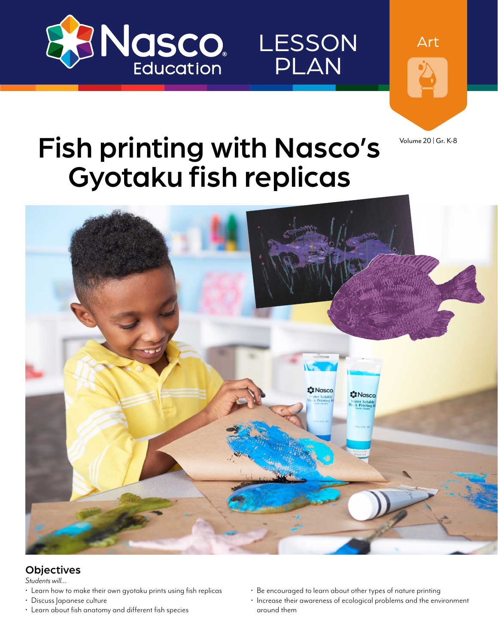

Art

LESSON

PLAN

Volume 20 | Gr. K-8

## Fish printing with Nasco's Gyotaku fish replicas



#### **Objectives**

*Students will…*

- Learn how to make their own gyotaku prints using fish replicas
- Discuss Japanese culture
- Learn about fish anatomy and different fish species
- Be encouraged to learn about other types of nature printing
- Increase their awareness of ecological problems and the environment around them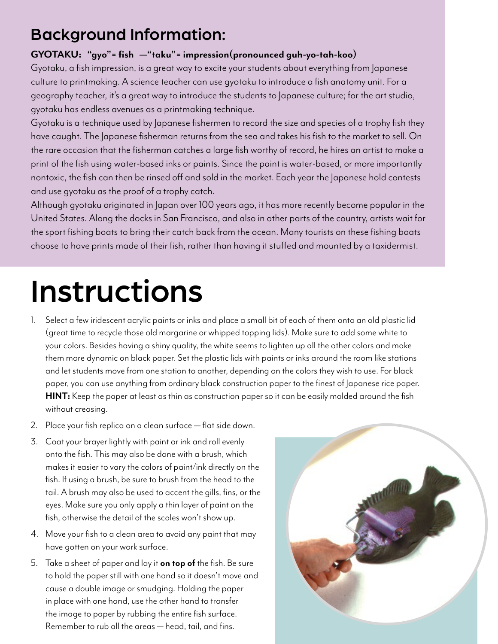### Background Information:

#### **GYOTAKU: "gyo"= fish —"taku"= impression(pronounced guh-yo-tah-koo)**

Gyotaku, a fish impression, is a great way to excite your students about everything from Japanese culture to printmaking. A science teacher can use gyotaku to introduce a fish anatomy unit. For a geography teacher, it's a great way to introduce the students to Japanese culture; for the art studio, gyotaku has endless avenues as a printmaking technique.

Gyotaku is a technique used by Japanese fishermen to record the size and species of a trophy fish they have caught. The Japanese fisherman returns from the sea and takes his fish to the market to sell. On the rare occasion that the fisherman catches a large fish worthy of record, he hires an artist to make a print of the fish using water-based inks or paints. Since the paint is water-based, or more importantly nontoxic, the fish can then be rinsed off and sold in the market. Each year the Japanese hold contests and use gyotaku as the proof of a trophy catch.

Although gyotaku originated in Japan over 100 years ago, it has more recently become popular in the United States. Along the docks in San Francisco, and also in other parts of the country, artists wait for the sport fishing boats to bring their catch back from the ocean. Many tourists on these fishing boats choose to have prints made of their fish, rather than having it stuffed and mounted by a taxidermist.

# Instructions

- 1. Select a few iridescent acrylic paints or inks and place a small bit of each of them onto an old plastic lid (great time to recycle those old margarine or whipped topping lids). Make sure to add some white to your colors. Besides having a shiny quality, the white seems to lighten up all the other colors and make them more dynamic on black paper. Set the plastic lids with paints or inks around the room like stations and let students move from one station to another, depending on the colors they wish to use. For black paper, you can use anything from ordinary black construction paper to the finest of Japanese rice paper. **HINT:** Keep the paper at least as thin as construction paper so it can be easily molded around the fish without creasing.
- 2. Place your fish replica on a clean surface flat side down.
- 3. Coat your brayer lightly with paint or ink and roll evenly onto the fish. This may also be done with a brush, which makes it easier to vary the colors of paint/ink directly on the fish. If using a brush, be sure to brush from the head to the tail. A brush may also be used to accent the gills, fins, or the eyes. Make sure you only apply a thin layer of paint on the fish, otherwise the detail of the scales won't show up.
- 4. Move your fish to a clean area to avoid any paint that may have gotten on your work surface.
- 5. Take a sheet of paper and lay it **on top of** the fish. Be sure to hold the paper still with one hand so it doesn't move and cause a double image or smudging. Holding the paper in place with one hand, use the other hand to transfer the image to paper by rubbing the entire fish surface. Remember to rub all the areas — head, tail, and fins.

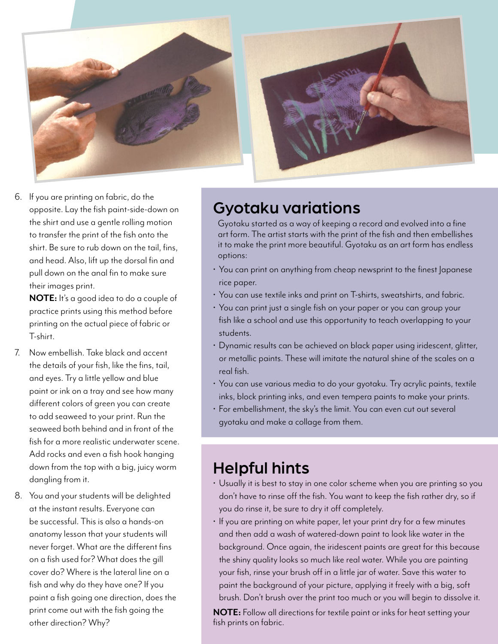

6. If you are printing on fabric, do the opposite. Lay the fish paint-side-down on the shirt and use a gentle rolling motion to transfer the print of the fish onto the shirt. Be sure to rub down on the tail, fins, and head. Also, lift up the dorsal fin and pull down on the anal fin to make sure their images print.

**NOTE:** It's a good idea to do a couple of practice prints using this method before printing on the actual piece of fabric or T-shirt.

- 7. Now embellish. Take black and accent the details of your fish, like the fins, tail, and eyes. Try a little yellow and blue paint or ink on a tray and see how many different colors of green you can create to add seaweed to your print. Run the seaweed both behind and in front of the fish for a more realistic underwater scene. Add rocks and even a fish hook hanging down from the top with a big, juicy worm dangling from it.
- 8. You and your students will be delighted at the instant results. Everyone can be successful. This is also a hands-on anatomy lesson that your students will never forget. What are the different fins on a fish used for? What does the gill cover do? Where is the lateral line on a fish and why do they have one? If you paint a fish going one direction, does the print come out with the fish going the other direction? Why?

### Gyotaku variations

Gyotaku started as a way of keeping a record and evolved into a fine art form. The artist starts with the print of the fish and then embellishes it to make the print more beautiful. Gyotaku as an art form has endless options:

- You can print on anything from cheap newsprint to the finest Japanese rice paper.
- You can use textile inks and print on T-shirts, sweatshirts, and fabric.
- You can print just a single fish on your paper or you can group your fish like a school and use this opportunity to teach overlapping to your students.
- Dynamic results can be achieved on black paper using iridescent, glitter, or metallic paints. These will imitate the natural shine of the scales on a real fish.
- You can use various media to do your gyotaku. Try acrylic paints, textile inks, block printing inks, and even tempera paints to make your prints.
- For embellishment, the sky's the limit. You can even cut out several gyotaku and make a collage from them.

#### Helpful hints

- Usually it is best to stay in one color scheme when you are printing so you don't have to rinse off the fish. You want to keep the fish rather dry, so if you do rinse it, be sure to dry it off completely.
- If you are printing on white paper, let your print dry for a few minutes and then add a wash of watered-down paint to look like water in the background. Once again, the iridescent paints are great for this because the shiny quality looks so much like real water. While you are painting your fish, rinse your brush off in a little jar of water. Save this water to paint the background of your picture, applying it freely with a big, soft brush. Don't brush over the print too much or you will begin to dissolve it.

**NOTE:** Follow all directions for textile paint or inks for heat setting your fish prints on fabric.